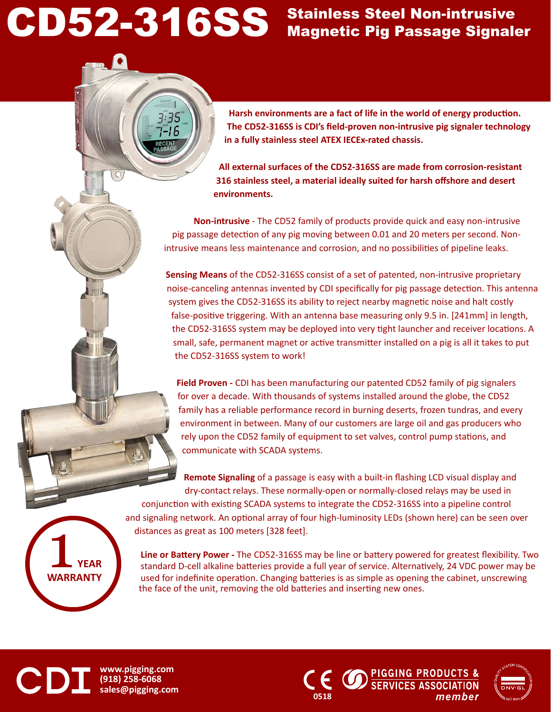# CD52-316SS Stainless Steel Non-intrusive<br>Magnetic Pig Passage Signaler

 $\circ$ 

SH.

### Stainless Steel Non-intrusive

**Harsh environments are a fact of life in the world of energy production. The CD52-316SS is CDI's field-proven non-intrusive pig signaler technology in a fully stainless steel ATEX IECEx-rated chassis.** 

**All external surfaces of the CD52-316SS are made from corrosion-resistant 316 stainless steel, a material ideally suited for harsh offshore and desert environments.** 

**Non-intrusive** - The CD52 family of products provide quick and easy non-intrusive pig passage detection of any pig moving between 0.01 and 20 meters per second. Nonintrusive means less maintenance and corrosion, and no possibilities of pipeline leaks.

**Sensing Means** of the CD52-316SS consist of a set of patented, non-intrusive proprietary noise-canceling antennas invented by CDI specifically for pig passage detection. This antenna system gives the CD52-316SS its ability to reject nearby magnetic noise and halt costly false-positive triggering. With an antenna base measuring only 9.5 in. [241mm] in length, the CD52-316SS system may be deployed into very tight launcher and receiver locations. A small, safe, permanent magnet or active transmitter installed on a pig is all it takes to put the CD52-316SS system to work!

**Field Proven -** CDI has been manufacturing our patented CD52 family of pig signalers for over a decade. With thousands of systems installed around the globe, the CD52 family has a reliable performance record in burning deserts, frozen tundras, and every environment in between. Many of our customers are large oil and gas producers who rely upon the CD52 family of equipment to set valves, control pump stations, and communicate with SCADA systems.

**Remote Signaling** of a passage is easy with a built-in flashing LCD visual display and dry-contact relays. These normally-open or normally-closed relays may be used in conjunction with existing SCADA systems to integrate the CD52-316SS into a pipeline control and signaling network. An optional array of four high-luminosity LEDs (shown here) can be seen over distances as great as 100 meters [328 feet].

**Line or Battery Power -** The CD52-316SS may be line or battery powered for greatest flexibility. Two standard D-cell alkaline batteries provide a full year of service. Alternatively, 24 VDC power may be used for indefinite operation. Changing batteries is as simple as opening the cabinet, unscrewing the face of the unit, removing the old batteries and inserting new ones.

**www.pigging.com (918) 258-6068 sales@pigging.com <sup>0518</sup>**

**YEAR WARRANTY** 

CD